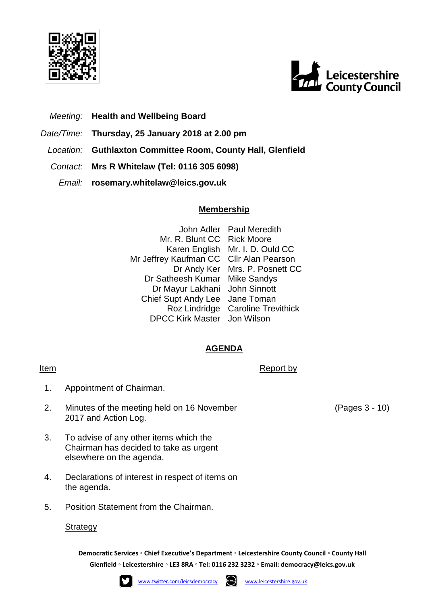



- *Meeting:* **Health and Wellbeing Board**
- *Date/Time:* **Thursday, 25 January 2018 at 2.00 pm**
- *Location:* **Guthlaxton Committee Room, County Hall, Glenfield**
- *Contact:* **Mrs R Whitelaw (Tel: 0116 305 6098)**
	- *Email:* **rosemary.whitelaw@leics.gov.uk**

## **Membership**

John Adler Paul Meredith Mr. R. Blunt CC Rick Moore Karen English Mr. I. D. Ould CC Mr Jeffrey Kaufman CC Cllr Alan Pearson Dr Andy Ker Mrs. P. Posnett CC Dr Satheesh Kumar Mike Sandys Dr Mayur Lakhani John Sinnott Chief Supt Andy Lee Jane Toman Roz Lindridge Caroline Trevithick DPCC Kirk Master Jon Wilson

## **AGENDA**

- Item Report by Report by Report by Report by Report by Report by Report by Report by Report by  $\mathbb{R}$ 
	- 1. Appointment of Chairman.
	- 2. Minutes of the meeting held on 16 November 2017 and Action Log.
	- 3. To advise of any other items which the Chairman has decided to take as urgent elsewhere on the agenda.
	- 4. Declarations of interest in respect of items on the agenda.
	- 5. Position Statement from the Chairman.

## **Strategy**

**Democratic Services ◦ Chief Executive's Department ◦ Leicestershire County Council ◦ County Hall Glenfield ◦ Leicestershire ◦ LE3 8RA ◦ Tel: 0116 232 3232 ◦ Email: [democracy@leics.gov.uk](mailto:democracy@leics.gov.uk)**





(Pages 3 - 10)